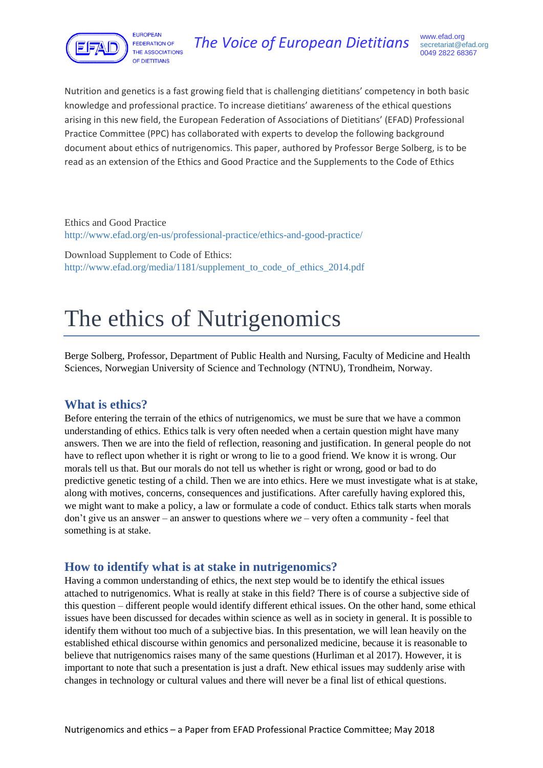

Nutrition and genetics is a fast growing field that is challenging dietitians' competency in both basic knowledge and professional practice. To increase dietitians' awareness of the ethical questions arising in this new field, the European Federation of Associations of Dietitians' (EFAD) Professional Practice Committee (PPC) has collaborated with experts to develop the following background document about ethics of nutrigenomics. This paper, authored by Professor Berge Solberg, is to be read as an extension of the Ethics and Good Practice and the Supplements to the Code of Ethics

Ethics and Good Practice <http://www.efad.org/en-us/professional-practice/ethics-and-good-practice/>

Download Supplement to Code of Ethics: [http://www.efad.org/media/1181/supplement\\_to\\_code\\_of\\_ethics\\_2014.pdf](http://www.efad.org/media/1181/supplement_to_code_of_ethics_2014.pdf)

# The ethics of Nutrigenomics

Berge Solberg, Professor, Department of Public Health and Nursing, Faculty of Medicine and Health Sciences, Norwegian University of Science and Technology (NTNU), Trondheim, Norway.

### **What is ethics?**

Before entering the terrain of the ethics of nutrigenomics, we must be sure that we have a common understanding of ethics. Ethics talk is very often needed when a certain question might have many answers. Then we are into the field of reflection, reasoning and justification. In general people do not have to reflect upon whether it is right or wrong to lie to a good friend. We know it is wrong. Our morals tell us that. But our morals do not tell us whether is right or wrong, good or bad to do predictive genetic testing of a child. Then we are into ethics. Here we must investigate what is at stake, along with motives, concerns, consequences and justifications. After carefully having explored this, we might want to make a policy, a law or formulate a code of conduct. Ethics talk starts when morals don't give us an answer – an answer to questions where *we* – very often a community - feel that something is at stake.

### **How to identify what is at stake in nutrigenomics?**

Having a common understanding of ethics, the next step would be to identify the ethical issues attached to nutrigenomics. What is really at stake in this field? There is of course a subjective side of this question – different people would identify different ethical issues. On the other hand, some ethical issues have been discussed for decades within science as well as in society in general. It is possible to identify them without too much of a subjective bias. In this presentation, we will lean heavily on the established ethical discourse within genomics and personalized medicine, because it is reasonable to believe that nutrigenomics raises many of the same questions (Hurliman et al 2017). However, it is important to note that such a presentation is just a draft. New ethical issues may suddenly arise with changes in technology or cultural values and there will never be a final list of ethical questions.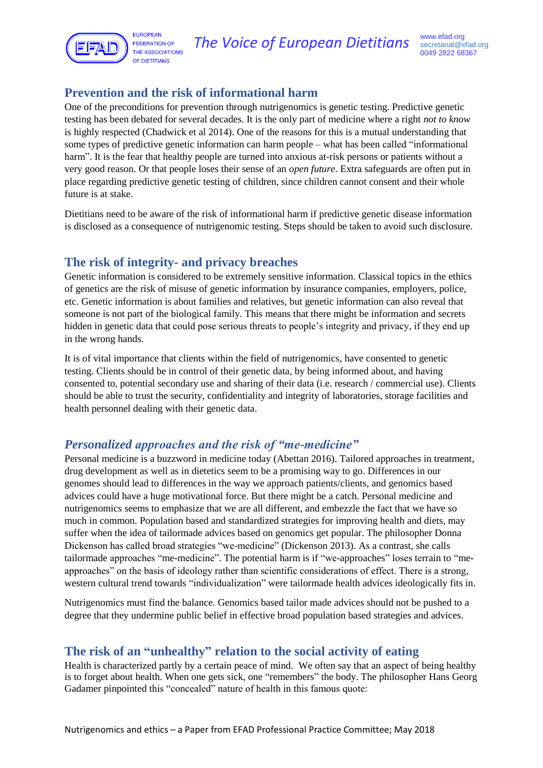

### **Prevention and the risk of informational harm**

One of the preconditions for prevention through nutrigenomics is genetic testing. Predictive genetic testing has been debated for several decades. It is the only part of medicine where a right *not to know* is highly respected (Chadwick et al 2014). One of the reasons for this is a mutual understanding that some types of predictive genetic information can harm people – what has been called "informational harm". It is the fear that healthy people are turned into anxious at-risk persons or patients without a very good reason. Or that people loses their sense of an *open future*. Extra safeguards are often put in place regarding predictive genetic testing of children, since children cannot consent and their whole future is at stake.

Dietitians need to be aware of the risk of informational harm if predictive genetic disease information is disclosed as a consequence of nutrigenomic testing. Steps should be taken to avoid such disclosure.

### **The risk of integrity- and privacy breaches**

Genetic information is considered to be extremely sensitive information. Classical topics in the ethics of genetics are the risk of misuse of genetic information by insurance companies, employers, police, etc. Genetic information is about families and relatives, but genetic information can also reveal that someone is not part of the biological family. This means that there might be information and secrets hidden in genetic data that could pose serious threats to people's integrity and privacy, if they end up in the wrong hands.

It is of vital importance that clients within the field of nutrigenomics, have consented to genetic testing. Clients should be in control of their genetic data, by being informed about, and having consented to, potential secondary use and sharing of their data (i.e. research / commercial use). Clients should be able to trust the security, confidentiality and integrity of laboratories, storage facilities and health personnel dealing with their genetic data.

### *Personalized approaches and the risk of "me-medicine"*

Personal medicine is a buzzword in medicine today (Abettan 2016). Tailored approaches in treatment, drug development as well as in dietetics seem to be a promising way to go. Differences in our genomes should lead to differences in the way we approach patients/clients, and genomics based advices could have a huge motivational force. But there might be a catch. Personal medicine and nutrigenomics seems to emphasize that we are all different, and embezzle the fact that we have so much in common. Population based and standardized strategies for improving health and diets, may suffer when the idea of tailormade advices based on genomics get popular. The philosopher Donna Dickenson has called broad strategies "we-medicine" (Dickenson 2013). As a contrast, she calls tailormade approaches "me-medicine". The potential harm is if "we-approaches" loses terrain to "meapproaches" on the basis of ideology rather than scientific considerations of effect. There is a strong, western cultural trend towards "individualization" were tailormade health advices ideologically fits in.

Nutrigenomics must find the balance. Genomics based tailor made advices should not be pushed to a degree that they undermine public belief in effective broad population based strategies and advices.

## **The risk of an "unhealthy" relation to the social activity of eating**

Health is characterized partly by a certain peace of mind. We often say that an aspect of being healthy is to forget about health. When one gets sick, one "remembers" the body. The philosopher Hans Georg Gadamer pinpointed this "concealed" nature of health in this famous quote: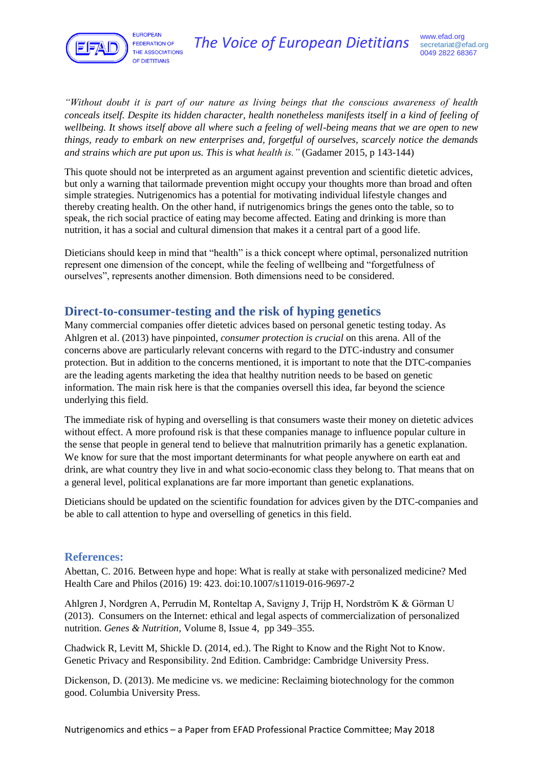

*"Without doubt it is part of our nature as living beings that the conscious awareness of health conceals itself. Despite its hidden character, health nonetheless manifests itself in a kind of feeling of wellbeing. It shows itself above all where such a feeling of well-being means that we are open to new things, ready to embark on new enterprises and, forgetful of ourselves, scarcely notice the demands and strains which are put upon us. This is what health is."* (Gadamer 2015, p 143-144)

This quote should not be interpreted as an argument against prevention and scientific dietetic advices, but only a warning that tailormade prevention might occupy your thoughts more than broad and often simple strategies. Nutrigenomics has a potential for motivating individual lifestyle changes and thereby creating health. On the other hand, if nutrigenomics brings the genes onto the table, so to speak, the rich social practice of eating may become affected. Eating and drinking is more than nutrition, it has a social and cultural dimension that makes it a central part of a good life.

Dieticians should keep in mind that "health" is a thick concept where optimal, personalized nutrition represent one dimension of the concept, while the feeling of wellbeing and "forgetfulness of ourselves", represents another dimension. Both dimensions need to be considered.

#### **Direct-to-consumer-testing and the risk of hyping genetics**

Many commercial companies offer dietetic advices based on personal genetic testing today. As Ahlgren et al. (2013) have pinpointed, *consumer protection is crucial* on this arena. All of the concerns above are particularly relevant concerns with regard to the DTC-industry and consumer protection. But in addition to the concerns mentioned, it is important to note that the DTC-companies are the leading agents marketing the idea that healthy nutrition needs to be based on genetic information. The main risk here is that the companies oversell this idea, far beyond the science underlying this field.

The immediate risk of hyping and overselling is that consumers waste their money on dietetic advices without effect. A more profound risk is that these companies manage to influence popular culture in the sense that people in general tend to believe that malnutrition primarily has a genetic explanation. We know for sure that the most important determinants for what people anywhere on earth eat and drink, are what country they live in and what socio-economic class they belong to. That means that on a general level, political explanations are far more important than genetic explanations.

Dieticians should be updated on the scientific foundation for advices given by the DTC-companies and be able to call attention to hype and overselling of genetics in this field.

#### **References:**

Abettan, C. 2016. Between hype and hope: What is really at stake with personalized medicine? Med Health Care and Philos (2016) 19: 423. doi:10.1007/s11019-016-9697-2

Ahlgren J, Nordgren A, Perrudin M, Ronteltap A, Savigny J, Trijp H, Nordström K & Görman U (2013). Consumers on the Internet: ethical and legal aspects of commercialization of personalized nutrition. *Genes & Nutrition*, Volume 8, Issue 4, pp 349–355.

Chadwick R, Levitt M, Shickle D. (2014, ed.). The Right to Know and the Right Not to Know. Genetic Privacy and Responsibility. 2nd Edition. Cambridge: Cambridge University Press.

Dickenson, D. (2013). Me medicine vs. we medicine: Reclaiming biotechnology for the common good. Columbia University Press.